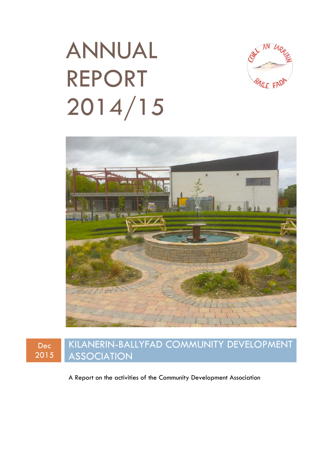# ANNUAL REPORT 2014/15







A Report on the activities of the Community Development Association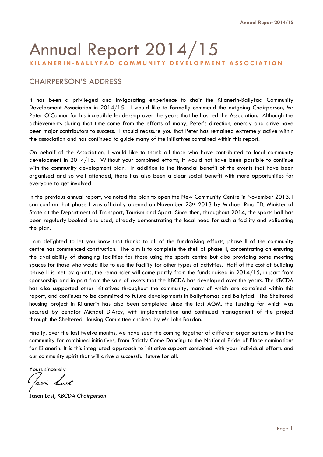# Annual Report 2014/15 **KILANERIN-BALLYFAD COMMUNITY DEVELOPMENT ASSOCIATION**

# CHAIRPERSON'S ADDRESS

It has been a privileged and invigorating experience to chair the Kilanerin-Ballyfad Community Development Association in 2014/15. I would like to formally commend the outgoing Chairperson, Mr Peter O'Connor for his incredible leadership over the years that he has led the Association. Although the achievements during that time come from the efforts of many, Peter's direction, energy and drive have been major contributors to success. I should reassure you that Peter has remained extremely active within the association and has continued to guide many of the initiatives contained within this report.

On behalf of the Association, I would like to thank all those who have contributed to local community development in 2014/15. Without your combined efforts, it would not have been possible to continue with the community development plan. In addition to the financial benefit of the events that have been organised and so well attended, there has also been a clear social benefit with more opportunities for everyone to get involved.

In the previous annual report, we noted the plan to open the New Community Centre in November 2013. I can confirm that phase I was officially opened on November 23rd 2013 by Michael Ring TD, Minister of State at the Department of Transport, Tourism and Sport. Since then, throughout 2014, the sports hall has been regularly booked and used, already demonstrating the local need for such a facility and validating the plan.

I am delighted to let you know that thanks to all of the fundraising efforts, phase II of the community centre has commenced construction. The aim is to complete the shell of phase II, concentrating on ensuring the availability of changing facilities for those using the sports centre but also providing some meeting spaces for those who would like to use the facility for other types of activities. Half of the cost of building phase II is met by grants, the remainder will come partly from the funds raised in 2014/15, in part from sponsorship and in part from the sale of assets that the KBCDA has developed over the years. The KBCDA has also supported other initiatives throughout the community, many of which are contained within this report, and continues to be committed to future developments in Ballythomas and Ballyfad. The Sheltered housing project in Kilanerin has also been completed since the last AGM, the funding for which was secured by Senator Michael D'Arcy, with implementation and continued management of the project through the Sheltered Housing Committee chaired by Mr John Bardon.

Finally, over the last twelve months, we have seen the coming together of different organisations within the community for combined initiatives, from Strictly Come Dancing to the National Pride of Place nominations for Kilanerin. It is this integrated approach to initiative support combined with your individual efforts and our community spirit that will drive a successful future for all.

Yours sincerely

(ason Last

Jason Last, *KBCDA Chairperson*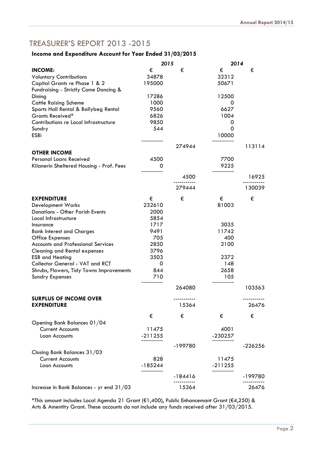# TREASURER'S REPORT 2013 -2015

# **Income and Expenditure Account for Year Ended 31/03/2015**

|                                           | 2015        |            |           | 2014        |  |
|-------------------------------------------|-------------|------------|-----------|-------------|--|
| <b>INCOME:</b>                            | €           | €          | €         | €           |  |
| <b>Voluntary Contributions</b>            | 34878       |            | 32312     |             |  |
| Capital Grants re Phase 1 & 2             | 195000      |            | 50671     |             |  |
| Fundraising - Strictly Come Dancing &     |             |            |           |             |  |
| Dining                                    | 17286       |            | 12500     |             |  |
| <b>Cattle Raising Scheme</b>              | 1000        |            | 0         |             |  |
| Sports Hall Rental & Ballybeg Rental      | 9560        |            | 6627      |             |  |
| Grants Received*                          | 6826        |            | 1004      |             |  |
| Contributions re Local Infrastructure     | 9850        |            | 0         |             |  |
| Sundry                                    | 544         |            | 0         |             |  |
| <b>ESBi</b>                               |             |            | 10000     |             |  |
|                                           | ----------- | 274944     |           | 113114      |  |
| <b>OTHER INCOME</b>                       |             |            |           |             |  |
| Personal Loans Received                   | 4500        |            | 7700      |             |  |
| Kilanerin Sheltered Housing - Prof. Fees  | 0           |            | 9225      |             |  |
|                                           |             |            |           |             |  |
|                                           |             | 4500       |           | 16925       |  |
|                                           |             | 279444     |           | 130039      |  |
| <b>EXPENDITURE</b>                        | €           | €          | €         | €           |  |
| Development Works                         | 232610      |            | 81003     |             |  |
| <b>Donations - Other Parish Events</b>    | 2000        |            |           |             |  |
| Local Infrastructure                      | 5854        |            |           |             |  |
| Insurance                                 | 1717        |            | 3035      |             |  |
| <b>Bank Interest and Charges</b>          | 9491        |            | 11742     |             |  |
| <b>Office Expenses</b>                    | 705         |            | 400       |             |  |
| <b>Accounts and Professional Services</b> | 2850        |            | 2100      |             |  |
| <b>Cleaning and Rental expenses</b>       | 3796        |            |           |             |  |
| <b>ESB and Heating</b>                    | 3503        |            | 2372      |             |  |
| Collector General - VAT and RCT           | 0           |            | 148       |             |  |
| Shrubs, Flowers, Tidy Towns Improvements  | 844         |            | 2658      |             |  |
| <b>Sundry Expenses</b>                    | 710         |            | 105       |             |  |
|                                           |             | 264080     |           |             |  |
|                                           |             |            |           | 103563      |  |
| <b>SURPLUS OF INCOME OVER</b>             |             | ---------- |           | ----------- |  |
| <b>EXPENDITURE</b>                        |             | 15364      |           | 26476       |  |
|                                           | €           | €          | €         | €           |  |
| Opening Bank Balances 01/04               |             |            |           |             |  |
| <b>Current Accounts</b>                   | 11475       |            | 4001      |             |  |
| Loan Accounts                             | $-211255$   |            | $-230257$ |             |  |
|                                           |             | -199780    |           | -226256     |  |
| Closing Bank Balances 31/03               |             |            |           |             |  |
| <b>Current Accounts</b>                   | 828         |            | 11475     |             |  |
| Loan Accounts                             | $-185244$   |            | $-211255$ |             |  |
|                                           | --------    |            |           |             |  |
|                                           |             | -184416    |           | -199780     |  |
| Increase in Bank Balances - yr end 31/03  |             | 15364      |           | 26476       |  |

\*This amount includes Local Agenda 21 Grant (€1,400), Public Enhancemant Grant (€4,250) & Arts & Amentity Grant. These accounts do not include any funds received after 31/03/2015.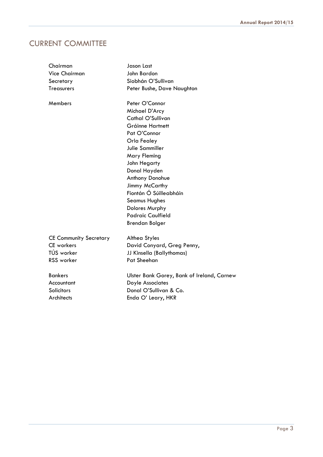# CURRENT COMMITTEE

| Chairman                      | <b>Jason Last</b>                          |  |
|-------------------------------|--------------------------------------------|--|
| <b>Vice Chairman</b>          | John Bardon                                |  |
| Secretary                     | Siobhán O'Sullivan                         |  |
| <b>Treasurers</b>             | Peter Bushe, Dave Naughton                 |  |
| Members                       | Peter O'Connor                             |  |
|                               | Michael D'Arcy                             |  |
|                               | Cathal O'Sullivan                          |  |
|                               | Gráinne Hartnett                           |  |
|                               | Pat O'Connor                               |  |
|                               | Orla Fealey                                |  |
|                               | Julie Sammiller                            |  |
|                               | <b>Mary Fleming</b>                        |  |
|                               | John Hegarty                               |  |
|                               | Donal Hayden                               |  |
|                               | Anthony Donohue                            |  |
|                               | Jimmy McCarthy                             |  |
|                               | Fiontán Ó Súilleabháin                     |  |
|                               | <b>Seamus Hughes</b>                       |  |
|                               | <b>Dolores Murphy</b>                      |  |
|                               | <b>Padraic Caulfield</b>                   |  |
|                               | <b>Brendan Bolger</b>                      |  |
| <b>CE Community Secretary</b> | Althea Styles                              |  |
| <b>CE</b> workers             | David Conyard, Greg Penny,                 |  |
| TÚS worker                    | JJ Kinsella (Ballythomas)                  |  |
| <b>RSS</b> worker             | Pat Sheehan                                |  |
| <b>Bankers</b>                | Ulster Bank Gorey, Bank of Ireland, Carnew |  |
| Accountant                    | Doyle Associates                           |  |
| <b>Solicitors</b>             | Donal O'Sullivan & Co.                     |  |
| Architects                    | Enda O' Leary, HKR                         |  |
|                               |                                            |  |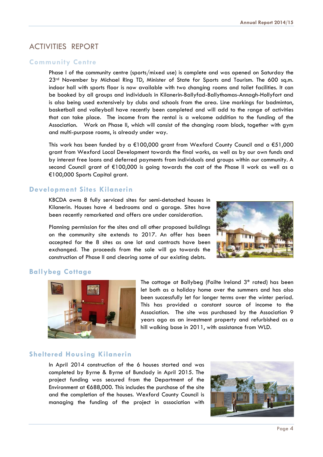# ACTIVITIES REPORT

#### **Community Centre**

 Phase I of the community centre (sports/mixed use) is complete and was opened on Saturday the 23<sup>rd</sup> November by Michael Ring TD, Minister of State for Sports and Tourism. The 600 sq.m. indoor hall with sports floor is now available with two changing rooms and toilet facilities. It can be booked by all groups and individuals in Kilanerin-Ballyfad-Ballythomas-Annagh-Hollyfort and is also being used extensively by clubs and schools from the area. Line markings for badminton, basketball and volleyball have recently been completed and will add to the range of activities that can take place. The income from the rental is a welcome addition to the funding of the Association. Work on Phase II, which will consist of the changing room block, together with gym and multi-purpose rooms, is already under way.

 This work has been funded by a €100,000 grant from Wexford County Council and a €51,000 grant from Wexford Local Development towards the final works, as well as by our own funds and by interest free loans and deferred payments from individuals and groups within our community. A second Council grant of €100,000 is going towards the cost of the Phase II work as well as a €100,000 Sports Capital grant.

## **Development Sites Kilanerin**

KBCDA owns 8 fully serviced sites for semi-detached houses in Kilanerin. Houses have 4 bedrooms and a garage. Sites have been recently remarketed and offers are under consideration.

 Planning permission for the sites and all other proposed buildings on the community site extends to 2017. An offer has been accepted for the 8 sites as one lot and contracts have been exchanged. The proceeds from the sale will go towards the construction of Phase II and clearing some of our existing debts.



#### **Ballybeg Cottage**



The cottage at Ballybeg (Failte Ireland 3\* rated) has been let both as a holiday home over the summers and has also been successfully let for longer terms over the winter period. This has provided a constant source of income to the Association. The site was purchased by the Association 9 years ago as an investment property and refurbished as a hill walking base in 2011, with assistance from WLD.

#### **Sheltered Housing Kilanerin**

In April 2014 construction of the 6 houses started and was completed by Byrne & Byrne of Bunclody in April 2015. The project funding was secured from the Department of the Environment at €688,000. This includes the purchase of the site and the completion of the houses. Wexford County Council is managing the funding of the project in association with

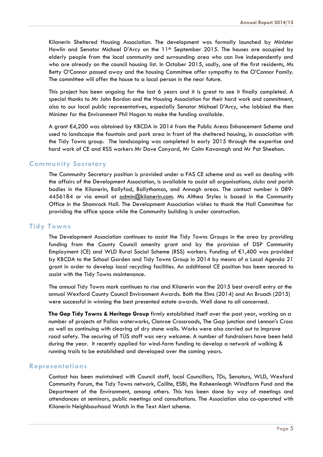Kilanerin Sheltered Housing Association. The development was formally launched by Minister Howlin and Senator Michael D'Arcy on the 11<sup>th</sup> September 2015. The houses are occupied by elderly people from the local community and surrounding area who can live independently and who are already on the council housing list. In October 2015, sadly, one of the first residents, Ms Betty O'Connor passed away and the housing Committee offer sympathy to the O'Connor Family. The committee will offer the house to a local person in the near future.

This project has been ongoing for the last 6 years and it is great to see it finally completed. A special thanks to Mr John Bardon and the Housing Association for their hard work and commitment, also to our local public representatives, especially Senator Michael D'Arcy, who lobbied the then Minister for the Environment Phil Hogan to make the funding available.

A grant €4,200 was obtained by KBCDA in 2014 from the Public Areas Enhancement Scheme and used to landscape the fountain and park area in front of the sheltered housing, in association with the Tidy Towns group. The landscaping was completed in early 2015 through the expertise and hard work of CE and RSS workers Mr Dave Conyard, Mr Colm Kavanagh and Mr Pat Sheehan.

#### **Community Secretary**

 The Community Secretary position is provided under a FAS CE scheme and as well as dealing with the affairs of the Development Association, is available to assist all organisations, clubs and parish bodies in the Kilanerin, Ballyfad, Ballythomas, and Annagh areas. The contact number is 089- 4456184 or via email at *admin@kilanerin.com*. Ms Althea Styles is based in the Community Office in the Shamrock Hall. The Development Association wishes to thank the Hall Committee for providing the office space while the Community building is under construction.

#### **Tidy Towns**

 The Development Association continues to assist the Tidy Towns Groups in the area by providing funding from the County Council amenity grant and by the provision of DSP Community Employment (CE) and WLD Rural Social Scheme (RSS) workers. Funding of €1,400 was provided by KBCDA to the School Garden and Tidy Towns Group in 2014 by means of a Local Agenda 21 grant in order to develop local recycling facilities. An additional CE position has been secured to assist with the Tidy Towns maintenance.

 The annual Tidy Towns mark continues to rise and Kilanerin won the 2015 best overall entry at the annual Wexford County Council Environment Awards. Both the Elms (2014) and An Bruach (2015) were successful in winning the best presented estate awards. Well done to all concerned.

**The Gap Tidy Towns & Heritage Group** firmly established itself over the past year, working on a number of projects at Pallas waterworks, Clonroe Crossroads, The Gap junction and Lennon's Cross as well as continuing with clearing of dry stone walls. Works were also carried out to improve road safety. The securing of TÚS staff was very welcome. A number of fundraisers have been held during the year. It recently applied for wind-farm funding to develop a network of walking & running trails to be established and developed over the coming years.

#### **Representations**

 Contact has been maintained with Council staff, local Councillors, TDs, Senators, WLD, Wexford Community Forum, the Tidy Towns network, Coillte, ESBI, the Raheenleagh Windfarm Fund and the Department of the Environment, among others. This has been done by way of meetings and attendances at seminars, public meetings and consultations. The Association also co-operated with Kilanerin Neighbourhood Watch in the Text Alert scheme.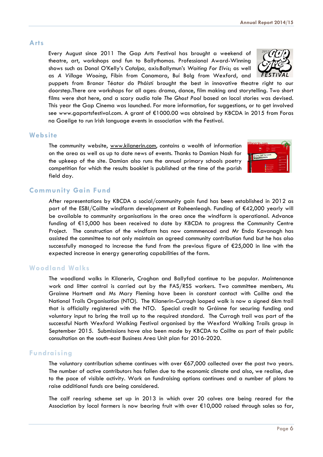## **Arts**

Every August since 2011 The Gap Arts Festival has brought a weekend of theatre, art, workshops and fun to Ballythomas. Professional Award-Winning shows such as Donal O'Kelly's *Catalpa,* axis:Ballymun's *Waiting For Elvis*; as well as *A Village Wooing*, Fíbín from Conamara, Buí Bolg from Wexford, and

puppets from Branar Téatar do Pháistí brought the best in innovative theatre right to our doorstep.There are workshops for all ages: drama, dance, film making and storytelling. Two short films were shot here, and a scary audio tale *The Ghost Pool* based on local stories was devised. This year the Gap Cinema was launched. For more information, for suggestions, or to get involved see www.gapartsfestival.com. A grant of €1000.00 was obtained by KBCDA in 2015 from Foras na Gaeilge to run Irish language events in association with the Festival.

## **Website**

The community website, www.kilanerin.com, contains a wealth of information on the area as well as up to date news of events. Thanks to Damian Nash for the upkeep of the site. Damian also runs the annual primary schools poetry competition for which the results booklet is published at the time of the parish field day.

## **Community Gain Fund**

 After representations by KBCDA a social/community gain fund has been established in 2012 as part of the ESBI/Coillte windfarm development at Raheenleagh. Funding of €42,000 yearly will be available to community organisations in the area once the windfarm is operational. Advance funding of €15,000 has been received to date by KBCDA to progress the Community Centre Project. The construction of the windfarm has now commmenced and Mr Enda Kavanagh has assisted the committee to not only maintain an agreed community contribution fund but he has also successfully managed to increase the fund from the previous figure of  $\epsilon$ 25,000 in line with the expected increase in energy generating capabilities of the farm.

## **Woodland Walks**

 The woodland walks in Kilanerin, Croghan and Ballyfad continue to be popular. Maintenance work and litter control is carried out by the FAS/RSS workers. Two committee members, Ms Grainne Hartnett and Ms Mary Fleming have been in constant contact with Coillte and the National Trails Organisation (NTO). The Kilanerin-Curragh looped walk is now a signed 6km trail that is officially registered with the NTO. Special credit to Gráinne for securing funding and voluntary input to bring the trail up to the required standard. The Curragh trail was part of the successful North Wexford Walking Festival organised by the Wexford Walking Trails group in September 2015. Submissions have also been made by KBCDA to Coillte as part of their public consultation on the south-east Business Area Unit plan for 2016-2020.

# **Fundraising**

 The voluntary contribution scheme continues with over €67,000 collected over the past two years. The number of active contributors has fallen due to the economic climate and also, we realise, due to the pace of visible activity. Work on fundraising options continues and a number of plans to raise additional funds are being considered.

 The calf rearing scheme set up in 2013 in which over 20 calves are being reared for the Association by local farmers is now bearing fruit with over €10,000 raised through sales so far,



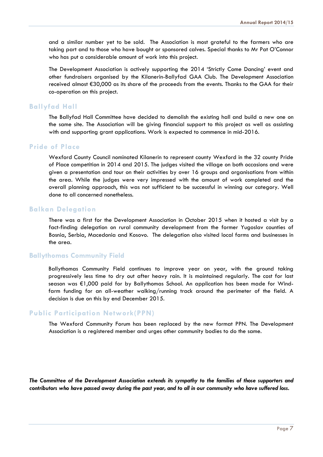and a similar number yet to be sold. The Association is most grateful to the farmers who are taking part and to those who have bought or sponsored calves. Special thanks to Mr Pat O'Connor who has put a considerable amount of work into this project.

 The Development Association is actively supporting the 2014 'Strictly Come Dancing' event and other fundraisers organised by the Kilanerin-Ballyfad GAA Club. The Development Association received almost €30,000 as its share of the proceeds from the events. Thanks to the GAA for their co-operation on this project.

#### **Ballyfad Hall**

 The Ballyfad Hall Committee have decided to demolish the existing hall and build a new one on the same site. The Association will be giving financial support to this project as well as assisting with and supporting grant applications. Work is expected to commence in mid-2016.

#### **Pride of Place**

 Wexford County Council nominated Kilanerin to represent county Wexford in the 32 county Pride of Place competition in 2014 and 2015. The judges visited the village on both occasions and were given a presentation and tour on their activities by over 16 groups and organisations from within the area. While the judges were very impressed with the amount of work completed and the overall planning approach, this was not sufficient to be successful in winning our category. Well done to all concerned nonetheless.

#### **Balkan Delegation**

 There was a first for the Development Association in October 2015 when it hosted a visit by a fact-finding delegation on rural community development from the former Yugoslav counties of Bosnia, Serbia, Macedonia and Kosovo. The delegation also visited local farms and businesses in the area.

#### **Ballythomas Community Field**

Ballythomas Community Field continues to improve year on year, with the ground taking progressively less time to dry out after heavy rain. It is maintained regularly. The cost for last season was €1,000 paid for by Ballythomas School. An application has been made for Windfarm funding for an all-weather walking/running track around the perimeter of the field. A decision is due on this by end December 2015.

#### **Public Participation Network(PPN)**

 The Wexford Community Forum has been replaced by the new format PPN. The Development Association is a registered member and urges other community bodies to do the same.

*The Committee of the Development Association extends its sympathy to the families of those supporters and contributors who have passed away during the past year, and to all in our community who have suffered loss.*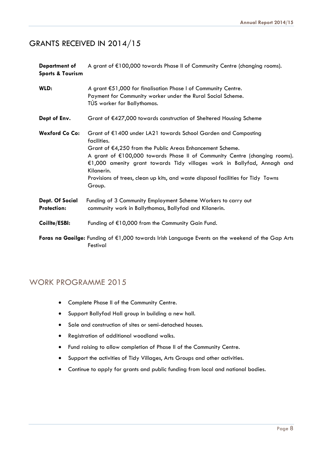# GRANTS RECEIVED IN 2014/15

**Department of** A grant of €100,000 towards Phase II of Community Centre (changing rooms). **Sports & Tourism** 

| WLD:                                  | A grant €51,000 for finalisation Phase I of Community Centre.<br>Payment for Community worker under the Rural Social Scheme.<br>TÚS worker for Ballythomas.                                                                                                                                                                                                                                                     |
|---------------------------------------|-----------------------------------------------------------------------------------------------------------------------------------------------------------------------------------------------------------------------------------------------------------------------------------------------------------------------------------------------------------------------------------------------------------------|
| Dept of Env.                          | Grant of €427,000 towards construction of Sheltered Housing Scheme                                                                                                                                                                                                                                                                                                                                              |
| <b>Wexford Co Co:</b>                 | Grant of €1400 under LA21 towards School Garden and Composting<br>facilities.<br>Grant of €4,250 from the Public Areas Enhancement Scheme.<br>A grant of €100,000 towards Phase II of Community Centre (changing rooms).<br>€1,000 amenity grant towards Tidy villages work in Ballyfad, Annagh and<br>Kilanerin.<br>Provisions of trees, clean up kits, and waste disposal facilities for Tidy Towns<br>Group. |
| Dept. Of Social<br><b>Protection:</b> | Funding of 3 Community Employment Scheme Workers to carry out<br>community work in Ballythomas, Ballyfad and Kilanerin.                                                                                                                                                                                                                                                                                         |
| Coillte/ESBI:                         | Funding of €10,000 from the Community Gain Fund.                                                                                                                                                                                                                                                                                                                                                                |
|                                       | Foras na Gaeilge: Funding of $E1,000$ towards Irish Language Events on the weekend of the Gap Arts<br>Festival                                                                                                                                                                                                                                                                                                  |

# WORK PROGRAMME 2015

- Complete Phase II of the Community Centre.
- **•** Support Ballyfad Hall group in building a new hall.
- Sale and construction of sites or semi-detached houses.
- Registration of additional woodland walks.
- Fund raising to allow completion of Phase II of the Community Centre.
- Support the activities of Tidy Villages, Arts Groups and other activities.
- Continue to apply for grants and public funding from local and national bodies.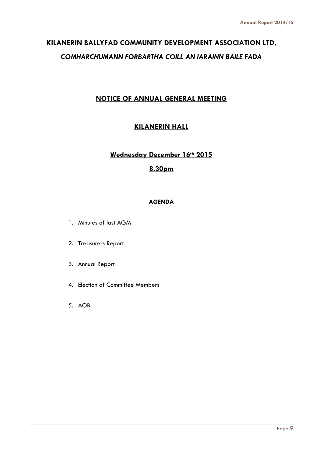# **KILANERIN BALLYFAD COMMUNITY DEVELOPMENT ASSOCIATION LTD,**  *COMHARCHUMANN FORBARTHA COILL AN IARAINN BAILE FADA*

# **NOTICE OF ANNUAL GENERAL MEETING**

# **KILANERIN HALL**

# **Wednesday December 16th 2015**

# **8.30pm**

# **AGENDA**

- 1. Minutes of last AGM
- 2. Treasurers Report
- 3. Annual Report
- 4. Election of Committee Members
- 5. AOB